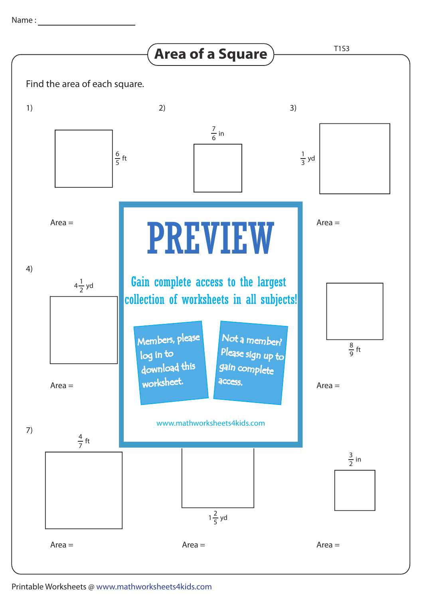